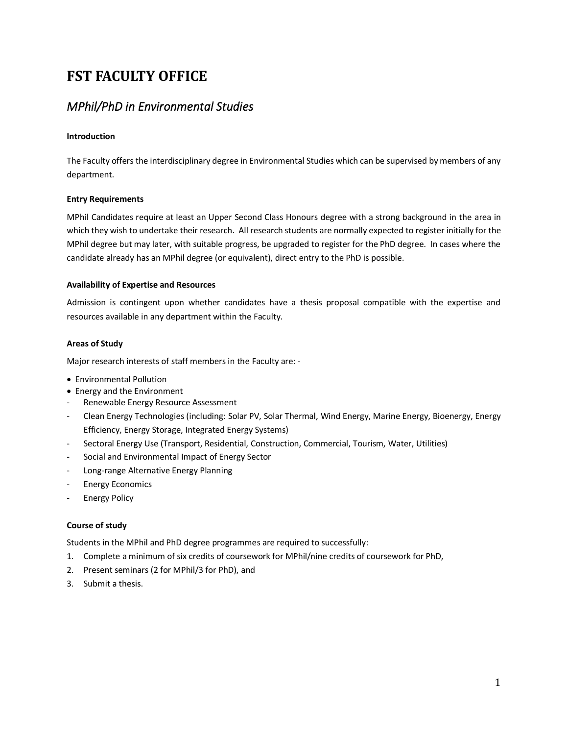# **FST FACULTY OFFICE**

# *MPhil/PhD in Environmental Studies*

# **Introduction**

The Faculty offers the interdisciplinary degree in Environmental Studies which can be supervised by members of any department.

# **Entry Requirements**

MPhil Candidates require at least an Upper Second Class Honours degree with a strong background in the area in which they wish to undertake their research. All research students are normally expected to register initially for the MPhil degree but may later, with suitable progress, be upgraded to register for the PhD degree. In cases where the candidate already has an MPhil degree (or equivalent), direct entry to the PhD is possible.

## **Availability of Expertise and Resources**

Admission is contingent upon whether candidates have a thesis proposal compatible with the expertise and resources available in any department within the Faculty.

# **Areas of Study**

Major research interests of staff members in the Faculty are: -

- Environmental Pollution
- Energy and the Environment
- Renewable Energy Resource Assessment
- Clean Energy Technologies (including: Solar PV, Solar Thermal, Wind Energy, Marine Energy, Bioenergy, Energy Efficiency, Energy Storage, Integrated Energy Systems)
- Sectoral Energy Use (Transport, Residential, Construction, Commercial, Tourism, Water, Utilities)
- Social and Environmental Impact of Energy Sector
- Long-range Alternative Energy Planning
- **Energy Economics**
- **Energy Policy**

# **Course of study**

Students in the MPhil and PhD degree programmes are required to successfully:

- 1. Complete a minimum of six credits of coursework for MPhil/nine credits of coursework for PhD,
- 2. Present seminars (2 for MPhil/3 for PhD), and
- 3. Submit a thesis.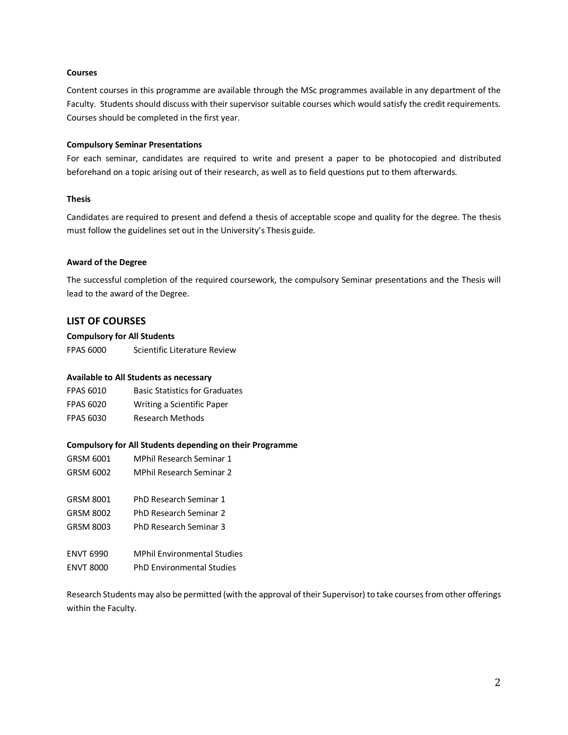#### **Courses**

Content courses in this programme are available through the MSc programmes available in any department of the Faculty. Students should discuss with their supervisor suitable courses which would satisfy the credit requirements. Courses should be completed in the first year.

#### **Compulsory Seminar Presentations**

For each seminar, candidates are required to write and present a paper to be photocopied and distributed beforehand on a topic arising out of their research, as well as to field questions put to them afterwards.

#### **Thesis**

Candidates are required to present and defend a thesis of acceptable scope and quality for the degree. The thesis must follow the guidelines set out in the University's Thesis guide.

#### **Award of the Degree**

The successful completion of the required coursework, the compulsory Seminar presentations and the Thesis will lead to the award of the Degree.

## **LIST OF COURSES**

#### **Compulsory for All Students**

FPAS 6000 Scientific Literature Review

#### **Available to All Students as necessary**

| <b>FPAS 6010</b> | <b>Basic Statistics for Graduates</b> |
|------------------|---------------------------------------|
| <b>FPAS 6020</b> | Writing a Scientific Paper            |
| <b>FPAS 6030</b> | Research Methods                      |

- **Compulsory for All Students depending on their Programme** GRSM 6001 MPhil Research Seminar 1 GRSM 6002 MPhil Research Seminar 2 GRSM 8001 PhD Research Seminar 1 GRSM 8002 PhD Research Seminar 2
- GRSM 8003 PhD Research Seminar 3
- ENVT 6990 MPhil Environmental Studies
- ENVT 8000 PhD Environmental Studies

Research Students may also be permitted (with the approval of their Supervisor) to take courses from other offerings within the Faculty.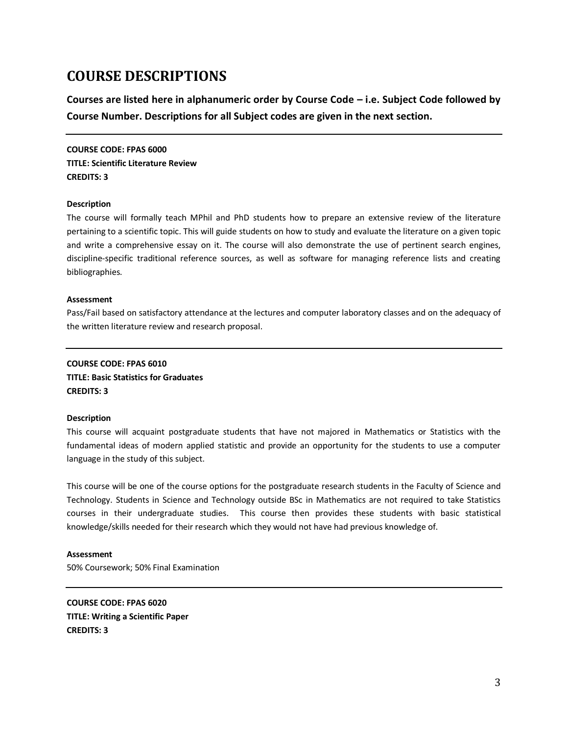# **COURSE DESCRIPTIONS**

**Courses are listed here in alphanumeric order by Course Code – i.e. Subject Code followed by Course Number. Descriptions for all Subject codes are given in the next section.** 

**COURSE CODE: FPAS 6000 TITLE: Scientific Literature Review CREDITS: 3**

#### **Description**

The course will formally teach MPhil and PhD students how to prepare an extensive review of the literature pertaining to a scientific topic. This will guide students on how to study and evaluate the literature on a given topic and write a comprehensive essay on it. The course will also demonstrate the use of pertinent search engines, discipline-specific traditional reference sources, as well as software for managing reference lists and creating bibliographies.

#### **Assessment**

Pass/Fail based on satisfactory attendance at the lectures and computer laboratory classes and on the adequacy of the written literature review and research proposal.

# **COURSE CODE: FPAS 6010 TITLE: Basic Statistics for Graduates CREDITS: 3**

#### **Description**

This course will acquaint postgraduate students that have not majored in Mathematics or Statistics with the fundamental ideas of modern applied statistic and provide an opportunity for the students to use a computer language in the study of this subject.

This course will be one of the course options for the postgraduate research students in the Faculty of Science and Technology. Students in Science and Technology outside BSc in Mathematics are not required to take Statistics courses in their undergraduate studies. This course then provides these students with basic statistical knowledge/skills needed for their research which they would not have had previous knowledge of.

#### **Assessment**

50% Coursework; 50% Final Examination

**COURSE CODE: FPAS 6020 TITLE: Writing a Scientific Paper CREDITS: 3**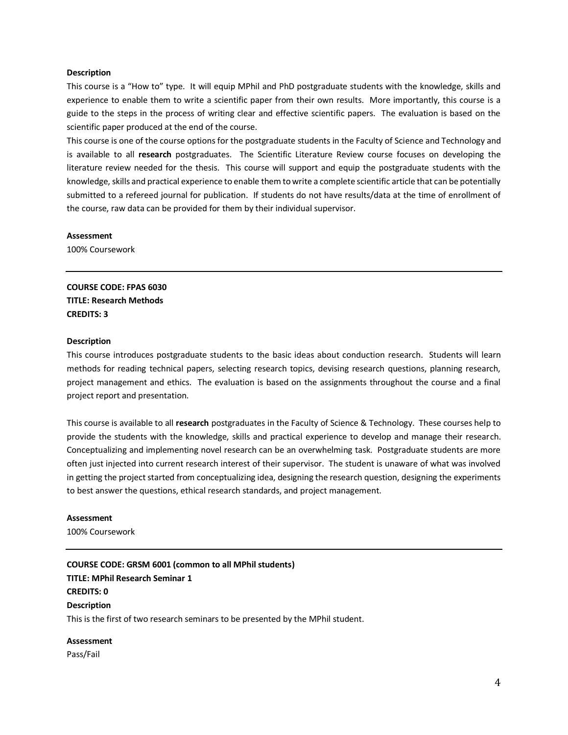#### **Description**

This course is a "How to" type. It will equip MPhil and PhD postgraduate students with the knowledge, skills and experience to enable them to write a scientific paper from their own results. More importantly, this course is a guide to the steps in the process of writing clear and effective scientific papers. The evaluation is based on the scientific paper produced at the end of the course.

This course is one of the course options for the postgraduate students in the Faculty of Science and Technology and is available to all **research** postgraduates. The Scientific Literature Review course focuses on developing the literature review needed for the thesis. This course will support and equip the postgraduate students with the knowledge, skills and practical experience to enable them to write a complete scientific article that can be potentially submitted to a refereed journal for publication. If students do not have results/data at the time of enrollment of the course, raw data can be provided for them by their individual supervisor.

**Assessment**

100% Coursework

**COURSE CODE: FPAS 6030 TITLE: Research Methods CREDITS: 3** 

#### **Description**

This course introduces postgraduate students to the basic ideas about conduction research. Students will learn methods for reading technical papers, selecting research topics, devising research questions, planning research, project management and ethics. The evaluation is based on the assignments throughout the course and a final project report and presentation.

This course is available to all **research** postgraduates in the Faculty of Science & Technology. These courses help to provide the students with the knowledge, skills and practical experience to develop and manage their research. Conceptualizing and implementing novel research can be an overwhelming task. Postgraduate students are more often just injected into current research interest of their supervisor. The student is unaware of what was involved in getting the project started from conceptualizing idea, designing the research question, designing the experiments to best answer the questions, ethical research standards, and project management.

# **Assessment**

100% Coursework

**COURSE CODE: GRSM 6001 (common to all MPhil students) TITLE: MPhil Research Seminar 1 CREDITS: 0 Description** This is the first of two research seminars to be presented by the MPhil student.

#### **Assessment**

Pass/Fail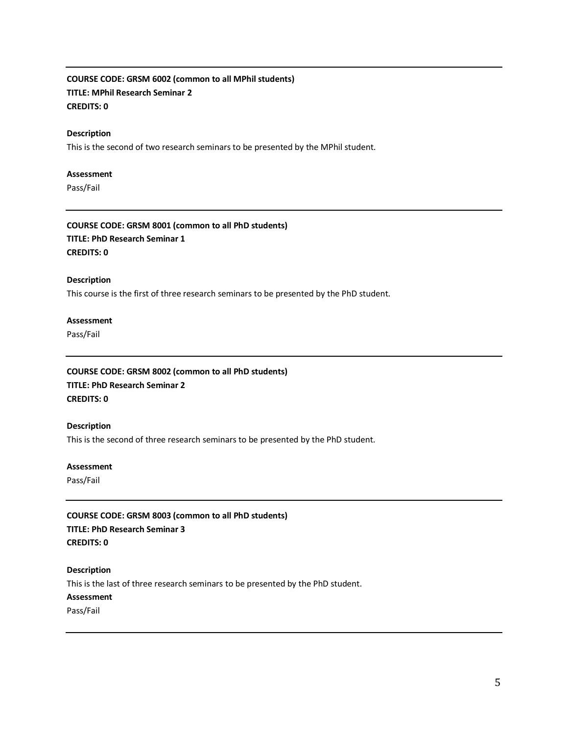# **COURSE CODE: GRSM 6002 (common to all MPhil students) TITLE: MPhil Research Seminar 2 CREDITS: 0**

#### **Description**

This is the second of two research seminars to be presented by the MPhil student.

#### **Assessment**

Pass/Fail

**COURSE CODE: GRSM 8001 (common to all PhD students) TITLE: PhD Research Seminar 1 CREDITS: 0**

#### **Description**

This course is the first of three research seminars to be presented by the PhD student.

### **Assessment**

Pass/Fail

# **COURSE CODE: GRSM 8002 (common to all PhD students) TITLE: PhD Research Seminar 2 CREDITS: 0**

#### **Description**

This is the second of three research seminars to be presented by the PhD student.

#### **Assessment**

Pass/Fail

## **COURSE CODE: GRSM 8003 (common to all PhD students)**

**TITLE: PhD Research Seminar 3 CREDITS: 0**

#### **Description**

This is the last of three research seminars to be presented by the PhD student.

# **Assessment**

Pass/Fail